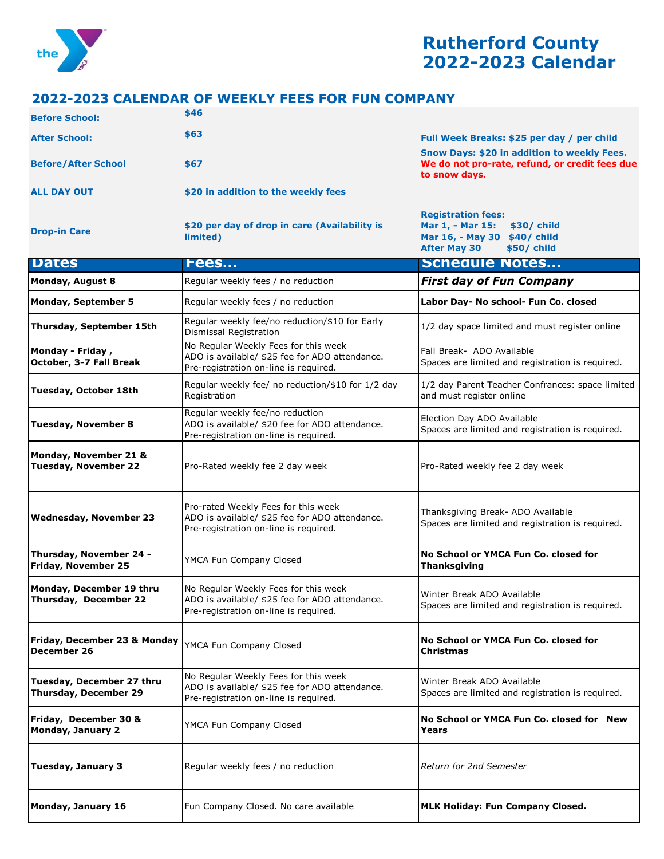

## **Rutherford County 2022-2023 Calendar**

**Mar 1, - Mar 15: \$30/ child Mar 16, - May 30 \$40/ child** 

## **2022-2023 CALENDAR OF WEEKLY FEES FOR FUN COMPANY**

| <b>Before School:</b>      | \$46                                |                                                                                                                       |
|----------------------------|-------------------------------------|-----------------------------------------------------------------------------------------------------------------------|
| <b>After School:</b>       | \$63                                | Full Week Breaks: \$25 per day / per child                                                                            |
| <b>Before/After School</b> | \$67                                | <b>Snow Days: \$20 in addition to weekly Fees.</b><br>We do not pro-rate, refund, or credit fees due<br>to snow days. |
| <b>ALL DAY OUT</b>         | \$20 in addition to the weekly fees |                                                                                                                       |
|                            |                                     | <b>Registration fees:</b>                                                                                             |

**Drop-in Care <b>b care** *\$20 per day of drop in care (Availability is limited)* **limited)** 

|                                                           |                                                                                                                                 | <b>After May 30</b><br>\$50/ child                                                    |
|-----------------------------------------------------------|---------------------------------------------------------------------------------------------------------------------------------|---------------------------------------------------------------------------------------|
| <b>Dates</b>                                              | <b>Fees</b>                                                                                                                     | <b>Schedule Notes</b>                                                                 |
| <b>Monday, August 8</b>                                   | Regular weekly fees / no reduction                                                                                              | <b>First day of Fun Company</b>                                                       |
| <b>Monday, September 5</b>                                | Regular weekly fees / no reduction                                                                                              | Labor Day- No school- Fun Co. closed                                                  |
| Thursday, September 15th                                  | Regular weekly fee/no reduction/\$10 for Early<br>Dismissal Registration                                                        | 1/2 day space limited and must register online                                        |
| Monday - Friday,<br>October, 3-7 Fall Break               | No Regular Weekly Fees for this week<br>ADO is available/ \$25 fee for ADO attendance.<br>Pre-registration on-line is required. | Fall Break- ADO Available<br>Spaces are limited and registration is required.         |
| Tuesday, October 18th                                     | Regular weekly fee/ no reduction/\$10 for 1/2 day<br>Registration                                                               | 1/2 day Parent Teacher Confrances: space limited<br>and must register online          |
| <b>Tuesday, November 8</b>                                | Regular weekly fee/no reduction<br>ADO is available/ \$20 fee for ADO attendance.<br>Pre-registration on-line is required.      | Election Day ADO Available<br>Spaces are limited and registration is required.        |
| Monday, November 21 &<br><b>Tuesday, November 22</b>      | Pro-Rated weekly fee 2 day week                                                                                                 | Pro-Rated weekly fee 2 day week                                                       |
| <b>Wednesday, November 23</b>                             | Pro-rated Weekly Fees for this week<br>ADO is available/ \$25 fee for ADO attendance.<br>Pre-registration on-line is required.  | Thanksgiving Break- ADO Available<br>Spaces are limited and registration is required. |
| Thursday, November 24 -<br><b>Friday, November 25</b>     | YMCA Fun Company Closed                                                                                                         | No School or YMCA Fun Co. closed for<br><b>Thanksgiving</b>                           |
| Monday, December 19 thru<br>Thursday, December 22         | No Regular Weekly Fees for this week<br>ADO is available/ \$25 fee for ADO attendance.<br>Pre-registration on-line is required. | Winter Break ADO Available<br>Spaces are limited and registration is required.        |
| Friday, December 23 & Monday<br>December 26               | YMCA Fun Company Closed                                                                                                         | No School or YMCA Fun Co. closed for<br><b>Christmas</b>                              |
| Tuesday, December 27 thru<br><b>Thursday, December 29</b> | No Regular Weekly Fees for this week<br>ADO is available/ \$25 fee for ADO attendance.<br>Pre-registration on-line is required. | Winter Break ADO Available<br>Spaces are limited and registration is required.        |
| Friday, December 30 &<br>Monday, January 2                | YMCA Fun Company Closed                                                                                                         | No School or YMCA Fun Co. closed for New<br>r ears                                    |
| <b>Tuesday, January 3</b>                                 | Regular weekly fees / no reduction                                                                                              | Return for 2nd Semester                                                               |
| Monday, January 16                                        | Fun Company Closed. No care available                                                                                           | <b>MLK Holiday: Fun Company Closed.</b>                                               |